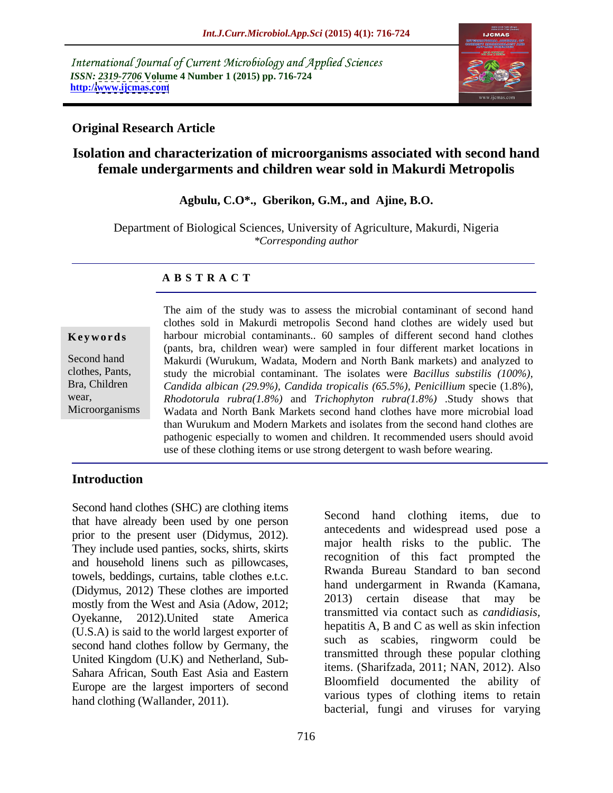International Journal of Current Microbiology and Applied Sciences *ISSN: 2319-7706* **Volume 4 Number 1 (2015) pp. 716-724 http:/[/www.ijcmas.com](http://www.ijcmas.com)**



# **Original Research Article**

# **Isolation and characterization of microorganisms associated with second hand female undergarments and children wear sold in Makurdi Metropolis**

### **Agbulu, C.O\*., Gberikon, G.M., and Ajine, B.O.**

Department of Biological Sciences, University of Agriculture, Makurdi, Nigeria *\*Corresponding author*

### **A B S T R A C T**

Microorganisms

The aim of the study was to assess the microbial contaminant of second hand clothes sold in Makurdi metropolis Second hand clothes are widely used but **Keywords** harbour microbial contaminants.. 60 samples of different second hand clothes (pants, bra, children wear) were sampled in four different market locations in Second hand Makurdi (Wurukum, Wadata, Modern and North Bank markets) and analyzed to study the microbial contaminant. The isolates were *Bacillus substilis (100%),* clothes, Pants, *Candida albican (29.9%), Candida tropicalis (65.5%), Penicillium* specie (1.8%), *Rhodotorula rubra(1.8%)* and *Trichophyton rubra(1.8%)* .Study shows that wear, Wadata and North Bank Markets second hand clothes have more microbial load than Wurukum and Modern Markets and isolates from the second hand clothes are pathogenic especially to women and children. It recommended users should avoid use of these clothing items or use strong detergent to wash before wearing.

# **Introduction**

Second hand clothes (SHC) are clothing items that have already been used by one person prior to the present user (Didymus, 2012). They include used panties, socks, shirts, skirts and household linens such as pillowcases, towels, beddings, curtains, table clothes e.t.c. (Didymus, 2012) These clothes are imported<br>2013) certain disease that may be mostly from the West and Asia (Adow, 2012; Oyekanne, 2012).United state America (U.S.A) is said to the world largest exporter of second hand clothes follow by Germany, the United Kingdom (U.K) and Netherland, Sub- Sahara African, South East Asia and Eastern Europe are the largest importers of second hand clothing (Wallander, 2011).

Second hand clothing items, due to antecedents and widespread used pose a major health risks to the public. The recognition of this fact prompted the Rwanda Bureau Standard to ban second hand undergarment in Rwanda (Kamana, certain disease that may transmitted via contact such as *candidiasis,*  hepatitis A, B and C as well as skin infection such as scabies, ringworm could be transmitted through these popular clothing items. (Sharifzada, 2011; NAN, 2012). Also Bloomfield documented the ability of various types of clothing items to retain bacterial, fungi and viruses for varying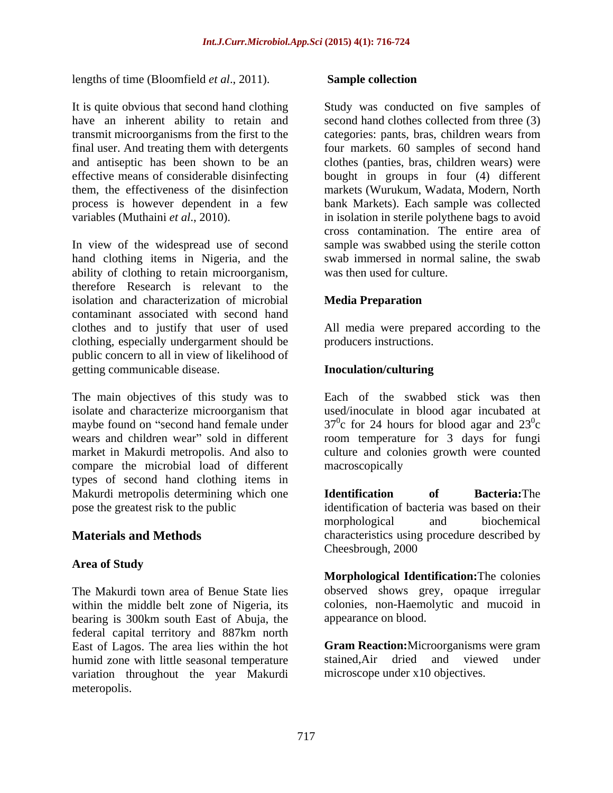lengths of time (Bloomfield *et al*., 2011).

transmit microorganisms from the first to the

In view of the widespread use of second hand clothing items in Nigeria, and the ability of clothing to retain microorganism, therefore Research is relevant to the isolation and characterization of microbial Media Preparation contaminant associated with second hand clothes and to justify that user of used All media were prepared according to the clothing, especially undergarment should be public concern to all in view of likelihood of getting communicable disease. **Inoculation/culturing** 

The main objectives of this study was to Each of the swabbed stick was then isolate and characterize microorganism that used/inoculate in blood agar incubated at maybe found on "second hand female under  $37^\circ$ c for 24 hours for blood agar and  $23^\circ$ c wears and children wear" sold in different market in Makurdi metropolis. And also to culture and colonies growth were counted compare the microbial load of different types of second hand clothing items in Makurdi metropolis determining which one<br> **Makurdi metropolis determining which one**<br> **Makurdi metropolis determining which one**<br> **Makurdi metropolis dentification of bacteria was based on their**<br> **Makurdi metropolis denti** pose the greatest risk to the public identification of bacteria was based on their

# **Area of Study**

The Makurdi town area of Benue State lies within the middle belt zone of Nigeria, its bearing is 300km south East of Abuja, the federal capital territory and 887km north East of Lagos. The area lies within the hot humid zone with little seasonal temperature stained, Air dried and viewed under variation throughout the year Makurdi meteropolis.

### **Sample collection**

It is quite obvious that second hand clothing Study was conducted on five samples of have an inherent ability to retain and second hand clothes collected from three (3) final user. And treating them with detergents four markets. 60 samples of second hand and antiseptic has been shown to be an clothes (panties, bras, children wears) were effective means of considerable disinfecting bought in groups in four (4) different them, the effectiveness of the disinfection markets (Wurukum, Wadata, Modern, North process is however dependent in a few bank Markets). Each sample was collected variables (Muthaini *et al*., 2010). in isolation in sterile polythene bags to avoid categories: pants, bras, children wears from cross contamination. The entire area of sample was swabbed using the sterile cotton swab immersed in normal saline, the swab was then used for culture.

## **Media Preparation**

producers instructions.

# **Inoculation/culturing**

 $0<sub>o</sub>$ c and the contract of the contract of the contract of the contract of the contract of the contract of the contract of the contract of the contract of the contract of the contract of the contract of the contract of the cont room temperature for 3 days for fungi macroscopically and the state of the state of the state of the state of the state of the state of the state of the state of the state of the state of the state of the state of the state of the state of the state of the sta

**Materials and Methods** characteristics using procedure described by **Identification of Bacteria:**The morphological and biochemical Cheesbrough, 2000

> **Morphological Identification:**The colonies observed shows grey, opaque irregular colonies, non-Haemolytic and mucoid in appearance on blood.

**Gram Reaction:**Microorganisms were gram stained,Air dried and viewed under microscope under x10 objectives.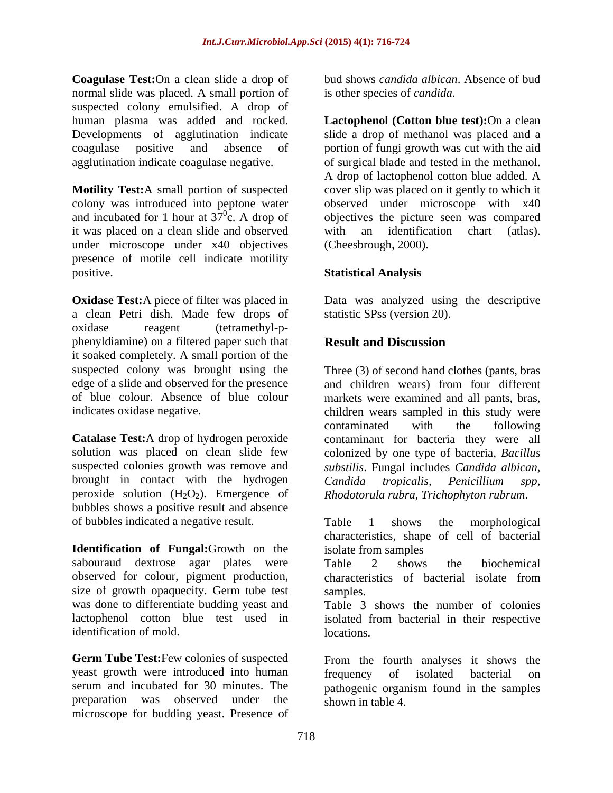**Coagulase Test:**On a clean slide a drop of normal slide was placed. A small portion of suspected colony emulsified. A drop of

it was placed on a clean slide and observed under microscope under x40 objectives presence of motile cell indicate motility positive. **Statistical Analysis**

**Oxidase Test:** A piece of filter was placed in Data was analyzed using the descriptive a clean Petri dish. Made few drops of oxidase reagent (tetramethyl-p phenyldiamine) on a filtered paper such that **Result and Discussion** it soaked completely. A small portion of the

brought in contact with the hydrogen Candida tropicalis. Penicillium spp. peroxide solution  $(H_2O_2)$ . Emergence of bubbles shows a positive result and absence of bubbles indicated a negative result.

**Identification of Fungal:**Growth on the sabouraud dextrose agar plates were Table 2 shows the biochemical observed for colour, pigment production, characteristics of bacterial isolate from size of growth opaquecity. Germ tube test was done to differentiate budding yeast and Table 3 shows the number of colonies lactophenol cotton blue test used in isolated from bacterial in their respective identification of mold. Intervalse in the locations.

**Germ Tube Test:**Few colonies of suspected From the fourth analyses it shows the yeast growth were introduced into human frequency of isolated bacterial on serum and incubated for 30 minutes. The pathogenic organism found in the samples preparation was observed under the shown in table 4. microscope for budding yeast. Presence of

bud shows *candida albican*. Absence of bud is other species of *candida*.

human plasma was added and rocked. **Lactophenol (Cotton blue test):**On a clean Developments of agglutination indicate slide a drop of methanol was placed and a coagulase positive and absence of portion of fungi growth was cut with the aid agglutination indicate coagulase negative. of surgical blade and tested in the methanol. **Motility Test:**A small portion of suspected cover slip was placed on it gently to which it colony was introduced into peptone water observed under microscope with x40 and incubated for 1 hour at  $37^\circ$ c. A drop of objectives the picture seen was compared A drop of lactophenol cotton blue added. A with an identification chart (atlas). (Cheesbrough, 2000).

statistic SPss (version 20).

# **Result and Discussion**

suspected colony was brought using the Three (3) of second hand clothes (pants, bras edge of a slide and observed for the presence and children wears) from four different of blue colour. Absence of blue colour markets were examined and all pants, bras, indicates oxidase negative. children wears sampled in this study were **Catalase Test:**A drop of hydrogen peroxide contaminant for bacteria they were all solution was placed on clean slide few colonized by one type of bacteria, *Bacillus*  suspected colonies growth was remove and *substilis*. Fungal includes *Candida albican,* contaminated with the following *Candida tropicalis, Penicillium spp, Rhodotorula rubra, Trichophyton rubrum*.

> Table 1 shows the morphological characteristics, shape of cell of bacterial isolate from samples

Table 2 shows the biochemical characteristics of bacterial isolate from samples.

locations.

frequency of isolated bacterial on shown in table 4.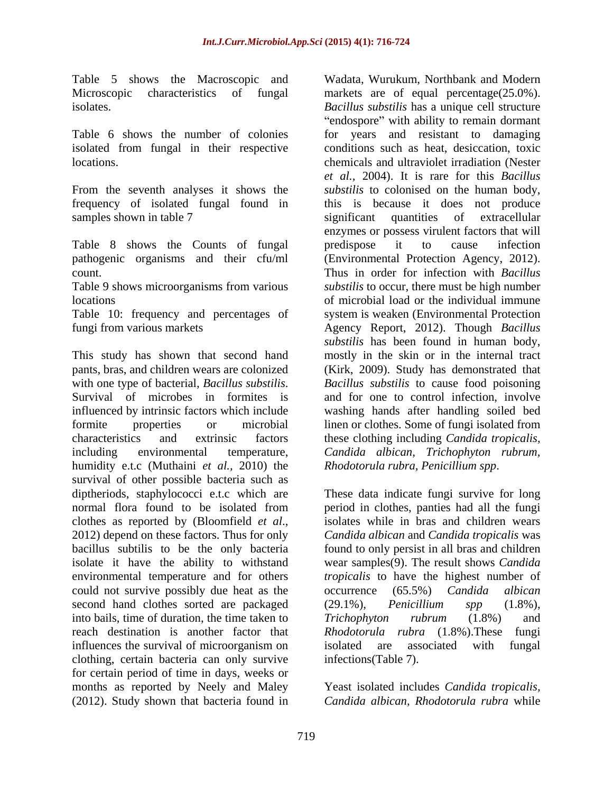Table 5 shows the Macroscopic and

isolated from fungal in their respective

frequency of isolated fungal found in

Table 8 shows the Counts of fungal predispose it to cause infection

Table 9 shows microorganisms from various

Table 10: frequency and percentages of

humidity e.t.c (Muthaini *et al.,* 2010) the survival of other possible bacteria such as diptheriods, staphylococci e.t.c which are<br>
These data indicate fungi survive for long<br>
normal flora found to be isolated from<br>
period in clothes, panties had all the fungi normal flora found to be isolated from period in clothes, panties had all the fungi clothes as reported by (Bloomfield *et al.*, isolates while in bras and children wears 2012) depend on these factors. Thus for only Candida albican and Candida tropicalis was bacillus subtilis to be the only bacteria found to only persist in all bras and children isolate it have the ability to withstand wear samples(9). The result shows *Candida*  environmental temperature and for others *tropicalis* to have the highest number of could not survive possibly due heat as the coccurrence (65.5%) Candida albican second hand clothes sorted are packaged (29.1%), *Penicillium* spp (1.8%), into bails, time of duration, the time taken to Trichophyton rubrum (1.8%) and reach destination is another factor that *Rhodotorula rubra* (1.8%).These fungi influences the survival of microorganism on isolated are associated with fungal clothing, certain bacteria can only survive for certain period of time in days, weeks or months as reported by Neely and Maley (2012). Study shown that bacteria found in

Microscopic characteristics of fungal markets are of equal percentage(25.0%). isolates. *Bacillus substilis* has a unique cell structure Table 6 shows the number of colonies for years and resistant to damaging locations. chemicals and ultraviolet irradiation (Nester From the seventh analyses it shows the *substilis* to colonised on the human body, samples shown in table 7 significant quantities of extracellular pathogenic organisms and their cfu/ml (Environmental Protection Agency, 2012). count. Thus in order for infection with *Bacillus*  locations of microbial load or the individual immune fungi from various markets Agency Report, 2012). Though *Bacillus*  This study has shown that second hand mostly in the skin or in the internal tract pants, bras, and children wears are colonized (Kirk, 2009). Study has demonstrated that with one type of bacterial, *Bacillus substilis*. Bacillus *substilis* to cause food poisoning<br>Survival of microbes in formites is and for one to control infection, involve influenced by intrinsic factors which include washing hands after handling soiled bed formite properties or microbial linen or clothes. Some of fungi isolated from characteristics and extrinsic factors these clothing including *Candida tropicalis,* including environmental temperature, *Candida albican, Trichophyton rubrum,* Wadata, Wurukum, Northbank and Modern "endospore" with ability to remain dormant conditions such as heat, desiccation, toxic *et al.,* 2004). It is rare for this *Bacillus*  this is because it does not produce significant quantities of extracellular enzymes or possess virulent factors that will predispose it to cause infection *substilis* to occur, there must be high number system is weaken (Environmental Protection *substilis* has been found in human body, *Bacillus substilis* to cause food poisoning and for one to control infection, involve

*Rhodotorula rubra, Penicillium spp*. These data indicate fungi survive for long isolates while in bras and children wears *Candida albican* and *Candida tropicalis* was occurrence (65.5%) *Candida albican* (29.1%), *Penicillium spp* (1.8%), *Trichophyton rubrum* (1.8%) and isolated are associated with fungal infections(Table 7).

Yeast isolated includes *Candida tropicalis, Candida albican, Rhodotorula rubra* while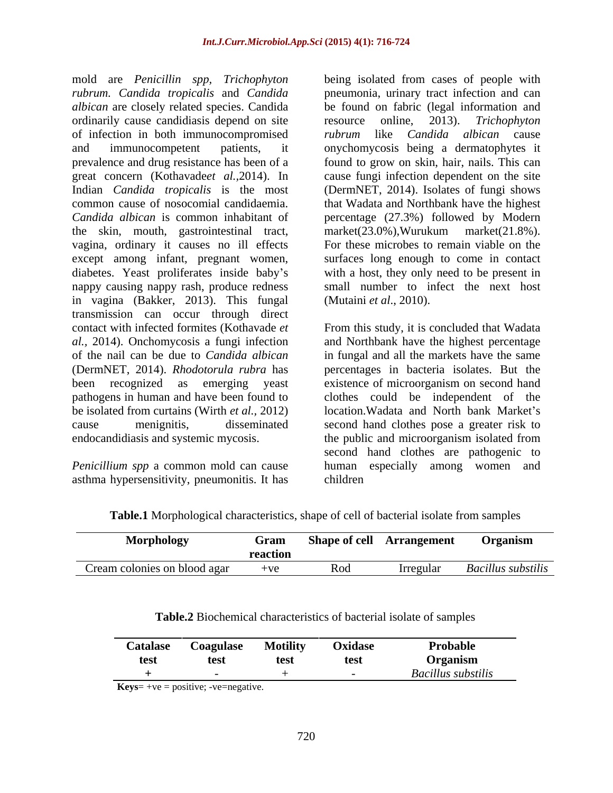mold are *Penicillin spp, Trichophyton* being isolated from cases of people with *rubrum. Candida tropicalis* and *Candida*  pneumonia, urinary tract infection and can *albican* are closely related species. Candida be found on fabric (legal information and ordinarily cause candidiasis depend on site resource online, 2013). Trichophyton of infection in both immunocompromised *rubrum* like *Candida albican* cause and immunocompetent patients, it onychomycosis being a dermatophytes it prevalence and drug resistance has been of a found to grow on skin, hair, nails. This can great concern (Kothavade*et al.,*2014). In cause fungi infection dependent on the site Indian *Candida tropicalis* is the most (DermNET, 2014). Isolates of fungi shows common cause of nosocomial candidaemia. that Wadata and Northbank have the highest *Candida albican* is common inhabitant of percentage (27.3%) followed by Modern the skin, mouth, gastrointestinal tract, vagina, ordinary it causes no ill effects except among infant, pregnant women, diabetes. Yeast proliferates inside baby s with a host, they only need to be present in nappy causing nappy rash, produce redness small number to infect the next host in vagina (Bakker, 2013). This fungal transmission can occur through direct contact with infected formites (Kothavade *et*  From this study, it is concluded that Wadata *al.,* 2014). Onchomycosis a fungi infection and Northbank have the highest percentage of the nail can be due to *Candida albican* in fungal and all the markets have the same (DermNET, 2014). *Rhodotorula rubra* has percentages in bacteria isolates. But the been recognized as emerging yeast existence of microorganism on second hand pathogens in human and have been found to clothes could be independent of the be isolated from curtains (Wirth *et al.*, 2012) location.Wadata and North bank Market's cause menignitis, disseminated second hand clothes pose a greater risk to endocandidiasis and systemic mycosis. the public and microorganism isolated from

asthma hypersensitivity, pneumonitis. It has

resource online, 2013). *Trichophyton rubrum* like *Candida albican* cause market(23.0%),Wurukum market(21.8%). For these microbes to remain viable on the surfaces long enough to come in contact (Mutaini *et al*., 2010).

*Penicillium spp* a common mold can cause human especially among women and second hand clothes are pathogenic to children **children** 

| Morphology                   | Gram    |     | <b>Shape of cell</b> Arrangement Organism |                    |
|------------------------------|---------|-----|-------------------------------------------|--------------------|
|                              | reacuon |     |                                           |                    |
| Cream colonies on blood agar | $+ve$   | Rod | <i>Irregula</i>                           | Bacillus substilis |

| Table.1 Morphological<br>al characteristics, shape of cell of bacterial isolate from samples |  |  |
|----------------------------------------------------------------------------------------------|--|--|
|                                                                                              |  |  |

| Table.2 Biochemical<br>l characteristics<br>$\alpha$ tarı<br>ate of samples<br>ns of bacteria.<br>l isolate. |  |
|--------------------------------------------------------------------------------------------------------------|--|
|                                                                                                              |  |

**Keys**= +ve = positive; -ve=negative.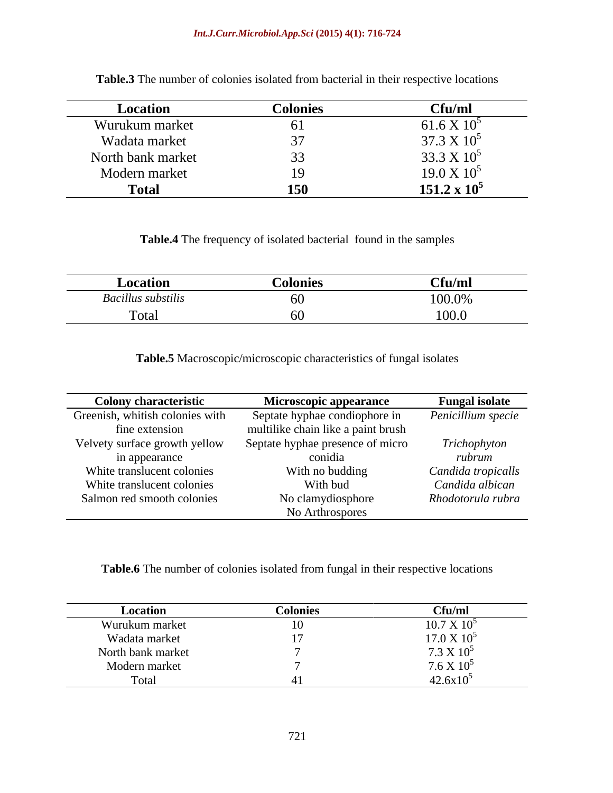### *Int.J.Curr.Microbiol.App.Sci* **(2015) 4(1): 716-724**

| Location          | <b>Colonies</b>                         | Cf <sub>u</sub> /m <sub>l</sub>           |
|-------------------|-----------------------------------------|-------------------------------------------|
| Wurukum market    |                                         | $\epsilon$ 1 $\epsilon$ V 10<br>01.0 A IU |
| Wadata market     |                                         | 37.3 X 10                                 |
| North bank market |                                         | $22.2 \times 10^5$<br>33.3 X IU           |
| Modern market     | 10                                      | 19.0 X 10                                 |
| <b>Total</b>      | $\overline{a}$ and $\overline{a}$<br>∸∾ | $151.2 \times 10^5$                       |

**Table.3** The number of colonies isolated from bacterial in their respective locations

**Table.4** The frequency of isolated bacterial found in the samples

| Location<br>Coionit | Cfu/m.                  |
|---------------------|-------------------------|
| Bacillus substilis  | 100.0%<br>1 0 0 1 0 7 0 |
| l'otal              | 100.0<br>100.0          |

**Table.5** Macroscopic/microscopic characteristics of fungal isolates

| <b>Colony characteristic</b>    | <b>Microscopic appearance</b>      | <b>Fungal isolate</b> |
|---------------------------------|------------------------------------|-----------------------|
| Greenish, whitish colonies with | Septate hyphae condiophore in      | Penicillium specie    |
| fine extension                  | multilike chain like a paint brush |                       |
| Velvety surface growth yellow   | Septate hyphae presence of micro   | Trichophyton          |
| in appearance                   | conidia                            | rubrum                |
| White translucent colonies      | With no budding                    | Candida tropicalls    |
| White translucent colonies      | With bud                           | Candida albican       |
| Salmon red smooth colonies      | No clamydiosphore                  | Rhodotorula rubra     |
|                                 | No Arthrospores                    |                       |

**Table.6** The number of colonies isolated from fungal in their respective locations

| Location          | Colonies | $\sim$ $\sim$<br>`fu/ml                   |
|-------------------|----------|-------------------------------------------|
| Wurukum market    |          | $10.7 \times 10^{5}$                      |
| Wadata market     |          | $17.0 \times 10^5$                        |
| North bank market |          | 7.3 X 10                                  |
| Modern market     |          | $7.6 \times 10^5$<br>42.6x10 <sup>5</sup> |
| `otal             |          |                                           |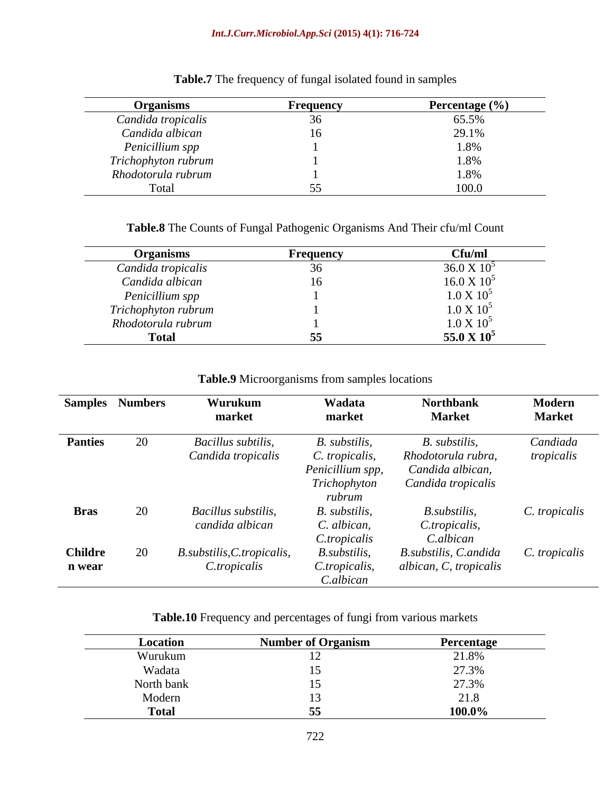| <b>Organisms</b>                   | <b>Frequency</b> | Percentage (%) |
|------------------------------------|------------------|----------------|
| Candida tropicalis                 |                  | 65.5%          |
| Candida albican<br>Penicillium spp |                  | 29.1%          |
|                                    |                  |                |
| Trichophyton rubrum                |                  | .              |
| Rhodotorula rubrum                 |                  |                |
|                                    |                  | LUU.U          |

**Table.7** The frequency of fungal isolated found in samples

**Table.8** The Counts of Fungal Pathogenic Organisms And Their cfu/ml Count

| <b>Organisms</b>    | <b>Frequency</b> | Cfu/ml              |
|---------------------|------------------|---------------------|
| Candida tropicalis  |                  | $36.0 \times 10^5$  |
| Candida albican     |                  | $16.0 \times 10^5$  |
| Penicillium spp     |                  | $1.0 \times 10^{5}$ |
| Trichophyton rubrum |                  | $1.0 X 10^5$        |
| Rhodotorula rubrum  |                  | $1.0 \times 10^5$   |
| Total               |                  | 55.0 X $10^5$       |

### **Table.9** Microorganisms from samples locations

| <b>Samples</b> Numbers | Wurukum                    | Wadata           | <b>Northbank</b>                    | Modern        |
|------------------------|----------------------------|------------------|-------------------------------------|---------------|
|                        | market                     | market           | <b>Market</b>                       | <b>Market</b> |
| <b>Panties</b>         | Bacillus subtilis,         | B. substilis,    | B. substilis,                       | Candiada      |
|                        | Candida tropicalis         | C. tropicalis,   | Rhodotorula rubra,                  | tropicalis    |
|                        |                            | Penicillium spp, | Candida albican,                    |               |
|                        |                            | Trichophyton     | Candida tropicalis                  |               |
|                        |                            | rubrum           |                                     |               |
| <b>Bras</b>            | Bacillus substilis,        | B. substilis,    | <i>B.substilis,</i>                 | C. tropicalis |
|                        | candida albican            | C. albican,      | C.tropicalis,                       |               |
|                        |                            | C.tropicalis     | C.albican                           |               |
| <b>Childre</b>         | B.substilis, C.tropicalis, | B.substilis,     | B.substilis, C.andida C. tropicalis |               |
| n wear                 | C.tropicalis               | C.tropicalis,    | albican, C, tropicalis              |               |
|                        |                            | C.albican        |                                     |               |

**Table.10** Frequency and percentages of fungi from various markets

| Locatio                                                                    | $\mathbf{a}$ $\mathbf{a}$<br>of Organis. | Percenta,<br>$\sim$             |
|----------------------------------------------------------------------------|------------------------------------------|---------------------------------|
| 7 ui unuit                                                                 |                                          | 21.8%                           |
| Wadata                                                                     |                                          | $\sim$ $\sim$ $\sim$<br>$\cdot$ |
| the contract of the contract of the contract of<br>o#h honiz<br>orui balik |                                          | 27.21                           |
| Modern                                                                     |                                          |                                 |
| <b>Total</b>                                                               |                                          | 100.0%                          |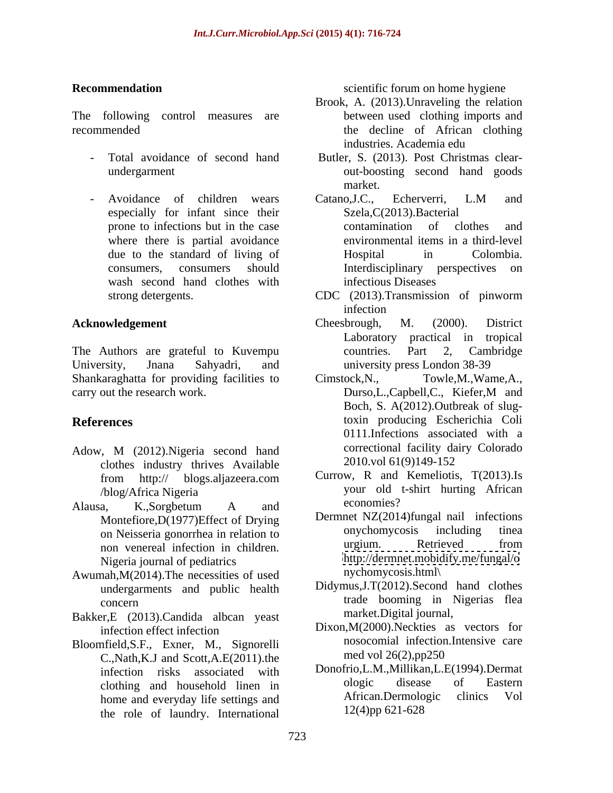The following control measures are

- 
- especially for infant since their where there is partial avoidance wash second hand clothes with infectious Diseases

The Authors are grateful to Kuvempu countries. Part 2, Cambridge University, Jnana Sahyadri, and university press London 38-39 Shankaraghatta for providing facilities to Cimstock, N., carry out the research work. Durso, L., Capbell, C., Kiefer, M and

- Adow, M (2012). Nigeria second hand correctional facility dans conductions industry thrives Available 2010. vol 61(9) 149-152 clothes industry thrives Available
- Alausa, K.,Sorgbetum A and non venereal infection in children. Nigeria journal of pediatrics
- Awumah,M(2014).The necessities of used undergarments and public health
- Bakker,E (2013).Candida albcan yeast
- Bloomfield, S.F., Exner, M., Signorelli nosocomial intection<br>  $C$  Nath K I and Scott A  $F(2011)$  the med vol 26(2), pp 250 C.,Nath,K.J and Scott,A.E(2011).the home and everyday life settings and the role of laundry. International

**Recommendation** and **Recommendation** scientific forum on home hygiene

- recommended the decline of African clothing Brook, A. (2013).Unraveling the relation between used clothing imports and industries. Academia edu
	- Total avoidance of second hand Butler, S. (2013). Post Christmas clear undergarment out-boosting second hand goods<br>market.<br>Avoidance of children wears Catano, J.C., Echerverri, L.M and out-boosting second hand goods market.
		- prone to infections but in the case contamination of clothes and due to the standard of living of consumers, consumers should Interdisciplinary perspectives on Catano,J.C., Echerverri, L.M and Szela,C(2013).Bacterial contamination of clothes and environmental items in a third-level Hospital in Colombia. infectious Diseases
		- strong detergents. CDC (2013).Transmission of pinworm infection
- **Acknowledgement** Cheesbrough, M. (2000). District Cheesbrough, M. (2000). District Laboratory practical in tropical countries. Part 2, Cambridge
- **References** toxin producing Escherichia Coli Towle,M.,Wame,A., Durso,L.,Capbell,C., Kiefer,M and Boch, S. A(2012).Outbreak of slug-0111.Infections associated with a correctional facility dairy Colorado 2010.vol 61(9)149-152
	- from http:// blogs.aljazeera.com /blog/Africa Nigeria your old t-shirt hurting African Currow, R and Kemeliotis, T(2013).Is economies?
	- Montefiore, D(1977) Effect of Drying<br>on Neisseria gonorrhea in relation to the convention opportunity on Neisseria gonorrhea in relation to on Neisseria gonorrhea in relation to mychomycosis including tinea<br>non-venereal infection in children urgium. Retrieved from Dermnet NZ(2014)fungal nail infections onychomycosis including tinea urgium. Retrieved from <http://dermnet.mobidify.me/fungal/o> [nychomycosis.html\](nychomycosis.html)>>
	>>
	endobj
	69 0 obj
	<</ProcSet[/PDF/Text]
	/Font<</F0 7 0 R
	/F1 8 0 R
	/F2 9 0 R
	/F4 68 0 R
	>>
	/XObject<<>>
	>>
	endobj
	73 0 obj
	<</Length 74 0 R
	/Filter/FlateDecode
	>>
	stream
	x���[w]�����)
	- concern trade booming in Nigerias flea Didymus,J.T(2012).Second hand clothes market.Digital journal,
	- infection effect infection Dixon,M(2000).Neckties as vectors for Dixon,M(2000).Neckties as vectors for nosocomial infection.Intensive care med vol 26(2),pp250
	- infection risks associated with Donotrio, L.M., Millikan, L.E. (1994). Dermat<br>clothing and household linen in ologic disease of Eastern clothing and household linen in the ologic disease of Eastern<br>home and everyday life settings and African.Dermologic clinics Vol Donofrio,L.M.,Millikan,L.E(1994).Dermat ologic disease of Eastern African.Dermologic clinics Vol 12(4)pp 621-628